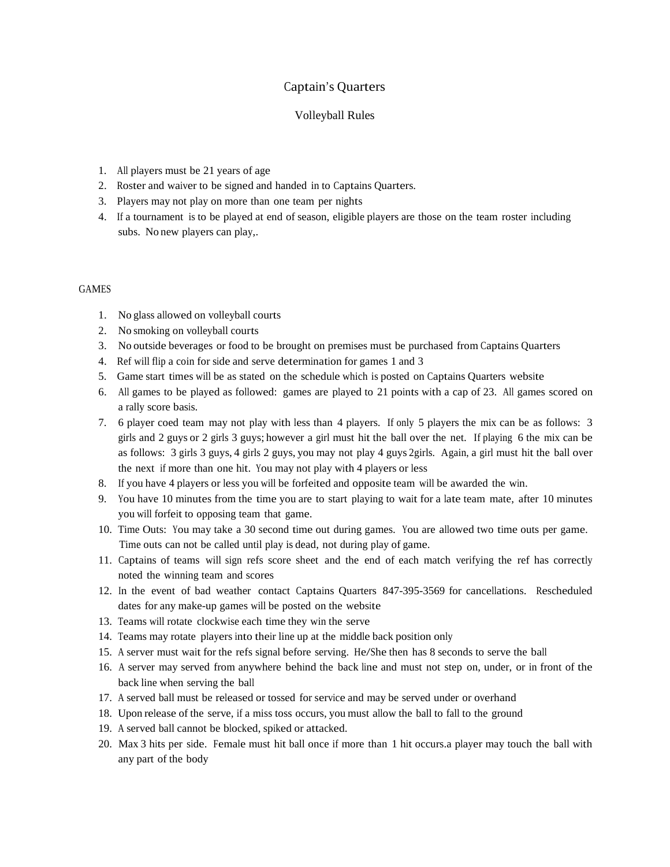## Captain's Quarters

## Volleyball Rules

- 1. All players must be 21 years of age
- 2. Roster and waiver to be signed and handed in to Captains Quarters.
- 3. Players may not play on more than one team per nights
- 4. If a tournament is to be played at end of season, eligible players are those on the team roster including subs. No new players can play,.

## GAMES

- 1. No glass allowed on volleyball courts
- 2. No smoking on volleyball courts
- 3. No outside beverages or food to be brought on premises must be purchased from Captains Quarters
- 4. Ref will flip a coin for side and serve determination for games 1 and 3
- 5. Game start times will be as stated on the schedule which is posted on Captains Quarters website
- 6. All games to be played as followed: games are played to 21 points with a cap of 23. All games scored on a rally score basis.
- 7. 6 player coed team may not play with less than 4 players. If only 5 players the mix can be as follows: 3 girls and 2 guys or 2 girls 3 guys; however a girl must hit the ball over the net. If playing 6 the mix can be as follows: 3 girls 3 guys, 4 girls 2 guys, you may not play 4 guys 2girls. Again, a girl must hit the ball over the next if more than one hit. You may not play with 4 players or less
- 8. If you have 4 players or less you will be forfeited and opposite team will be awarded the win.
- 9. You have 10 minutes from the time you are to start playing to wait for a late team mate, after 10 minutes you will forfeit to opposing team that game.
- 10. Time Outs: You may take a 30 second time out during games. You are allowed two time outs per game. Time outs can not be called until play is dead, not during play of game.
- 11. Captains of teams will sign refs score sheet and the end of each match verifying the ref has correctly noted the winning team and scores
- 12. In the event of bad weather contact Captains Quarters 847-395-3569 for cancellations. Rescheduled dates for any make-up games will be posted on the website
- 13. Teams will rotate clockwise each time they win the serve
- 14. Teams may rotate players into their line up at the middle back position only
- 15. A server must wait for the refs signal before serving. He/She then has 8 seconds to serve the ball
- 16. A server may served from anywhere behind the back line and must not step on, under, or in front of the back line when serving the ball
- 17. A served ball must be released or tossed for service and may be served under or overhand
- 18. Upon release of the serve, if a miss toss occurs, you must allow the ball to fall to the ground
- 19. A served ball cannot be blocked, spiked or attacked.
- 20. Max 3 hits per side. Female must hit ball once if more than 1 hit occurs.a player may touch the ball with any part of the body